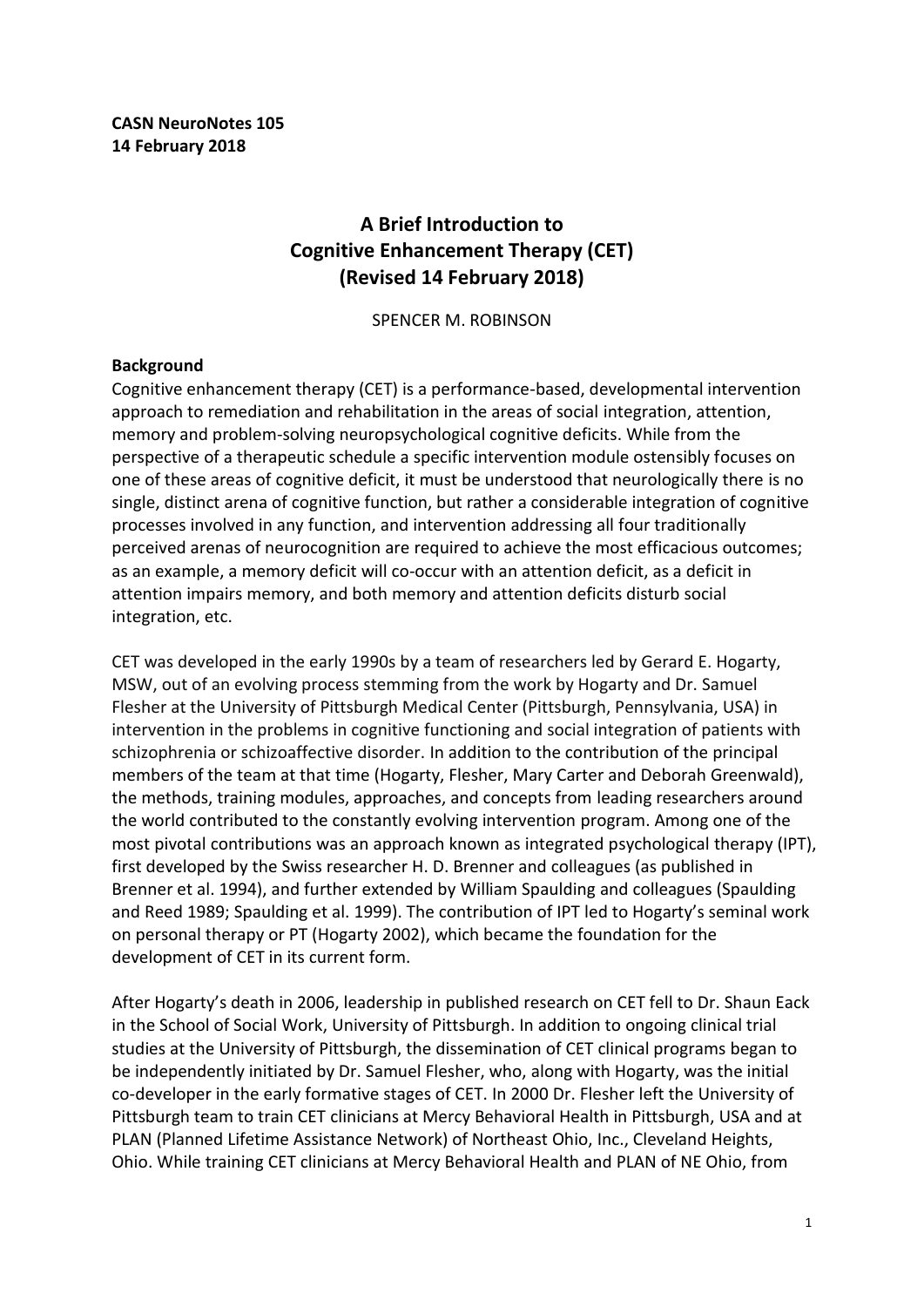**CASN NeuroNotes 105 14 February 2018**

# **A Brief Introduction to Cognitive Enhancement Therapy (CET) (Revised 14 February 2018)**

SPENCER M. ROBINSON

#### **Background**

Cognitive enhancement therapy (CET) is a performance-based, developmental intervention approach to remediation and rehabilitation in the areas of social integration, attention, memory and problem-solving neuropsychological cognitive deficits. While from the perspective of a therapeutic schedule a specific intervention module ostensibly focuses on one of these areas of cognitive deficit, it must be understood that neurologically there is no single, distinct arena of cognitive function, but rather a considerable integration of cognitive processes involved in any function, and intervention addressing all four traditionally perceived arenas of neurocognition are required to achieve the most efficacious outcomes; as an example, a memory deficit will co-occur with an attention deficit, as a deficit in attention impairs memory, and both memory and attention deficits disturb social integration, etc.

CET was developed in the early 1990s by a team of researchers led by Gerard E. Hogarty, MSW, out of an evolving process stemming from the work by Hogarty and Dr. Samuel Flesher at the University of Pittsburgh Medical Center (Pittsburgh, Pennsylvania, USA) in intervention in the problems in cognitive functioning and social integration of patients with schizophrenia or schizoaffective disorder. In addition to the contribution of the principal members of the team at that time (Hogarty, Flesher, Mary Carter and Deborah Greenwald), the methods, training modules, approaches, and concepts from leading researchers around the world contributed to the constantly evolving intervention program. Among one of the most pivotal contributions was an approach known as integrated psychological therapy (IPT), first developed by the Swiss researcher H. D. Brenner and colleagues (as published in Brenner et al. 1994), and further extended by William Spaulding and colleagues (Spaulding and Reed 1989; Spaulding et al. 1999). The contribution of IPT led to Hogarty's seminal work on personal therapy or PT (Hogarty 2002), which became the foundation for the development of CET in its current form.

After Hogarty's death in 2006, leadership in published research on CET fell to Dr. Shaun Eack in the School of Social Work, University of Pittsburgh. In addition to ongoing clinical trial studies at the University of Pittsburgh, the dissemination of CET clinical programs began to be independently initiated by Dr. Samuel Flesher, who, along with Hogarty, was the initial co-developer in the early formative stages of CET. In 2000 Dr. Flesher left the University of Pittsburgh team to train CET clinicians at Mercy Behavioral Health in Pittsburgh, USA and at PLAN (Planned Lifetime Assistance Network) of Northeast Ohio, Inc., Cleveland Heights, Ohio. While training CET clinicians at Mercy Behavioral Health and PLAN of NE Ohio, from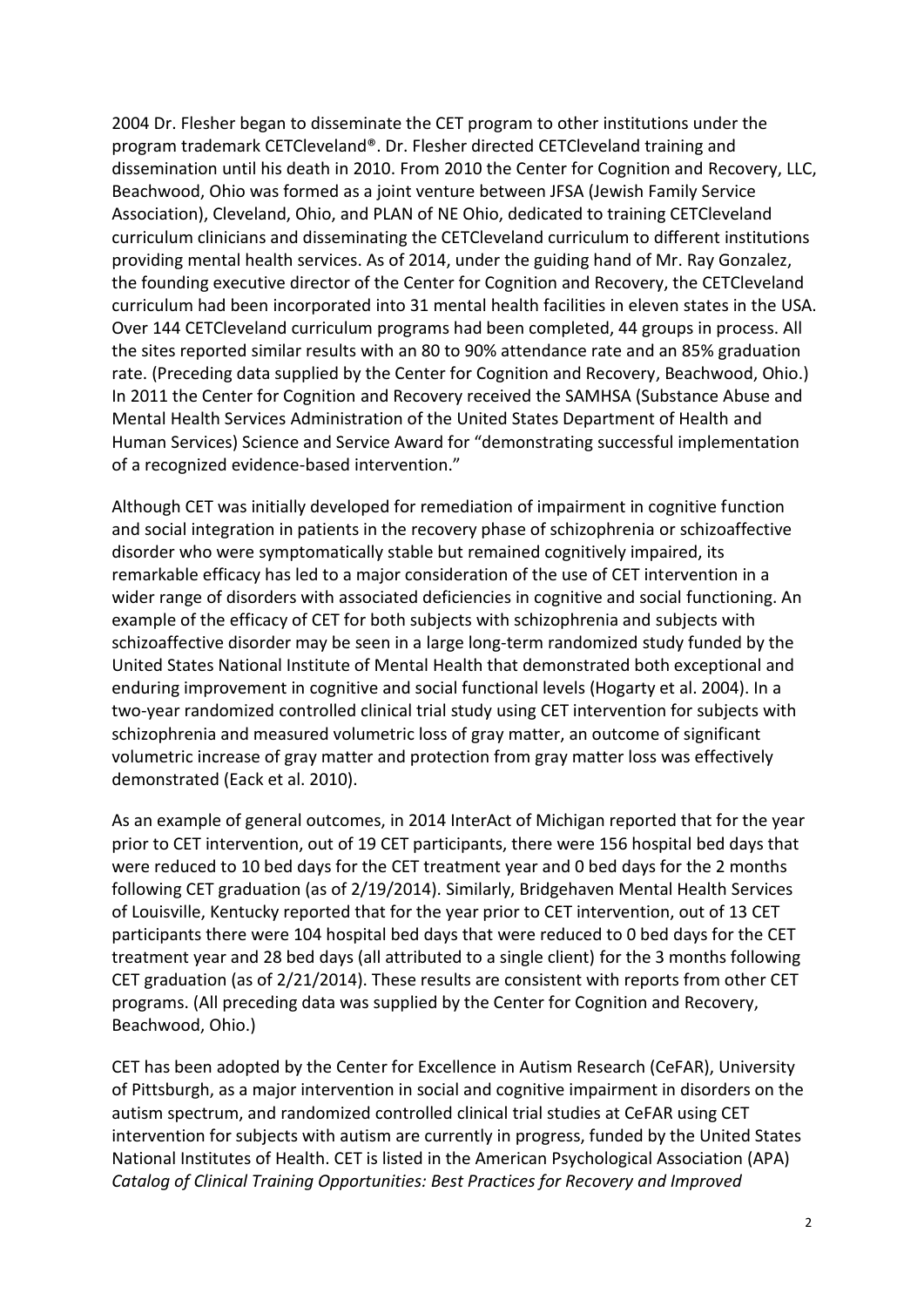2004 Dr. Flesher began to disseminate the CET program to other institutions under the program trademark CETCleveland®. Dr. Flesher directed CETCleveland training and dissemination until his death in 2010. From 2010 the Center for Cognition and Recovery, LLC, Beachwood, Ohio was formed as a joint venture between JFSA (Jewish Family Service Association), Cleveland, Ohio, and PLAN of NE Ohio, dedicated to training CETCleveland curriculum clinicians and disseminating the CETCleveland curriculum to different institutions providing mental health services. As of 2014, under the guiding hand of Mr. Ray Gonzalez, the founding executive director of the Center for Cognition and Recovery, the CETCleveland curriculum had been incorporated into 31 mental health facilities in eleven states in the USA. Over 144 CETCleveland curriculum programs had been completed, 44 groups in process. All the sites reported similar results with an 80 to 90% attendance rate and an 85% graduation rate. (Preceding data supplied by the Center for Cognition and Recovery, Beachwood, Ohio.) In 2011 the Center for Cognition and Recovery received the SAMHSA (Substance Abuse and Mental Health Services Administration of the United States Department of Health and Human Services) Science and Service Award for "demonstrating successful implementation of a recognized evidence-based intervention."

Although CET was initially developed for remediation of impairment in cognitive function and social integration in patients in the recovery phase of schizophrenia or schizoaffective disorder who were symptomatically stable but remained cognitively impaired, its remarkable efficacy has led to a major consideration of the use of CET intervention in a wider range of disorders with associated deficiencies in cognitive and social functioning. An example of the efficacy of CET for both subjects with schizophrenia and subjects with schizoaffective disorder may be seen in a large long-term randomized study funded by the United States National Institute of Mental Health that demonstrated both exceptional and enduring improvement in cognitive and social functional levels (Hogarty et al. 2004). In a two-year randomized controlled clinical trial study using CET intervention for subjects with schizophrenia and measured volumetric loss of gray matter, an outcome of significant volumetric increase of gray matter and protection from gray matter loss was effectively demonstrated (Eack et al. 2010).

As an example of general outcomes, in 2014 InterAct of Michigan reported that for the year prior to CET intervention, out of 19 CET participants, there were 156 hospital bed days that were reduced to 10 bed days for the CET treatment year and 0 bed days for the 2 months following CET graduation (as of 2/19/2014). Similarly, Bridgehaven Mental Health Services of Louisville, Kentucky reported that for the year prior to CET intervention, out of 13 CET participants there were 104 hospital bed days that were reduced to 0 bed days for the CET treatment year and 28 bed days (all attributed to a single client) for the 3 months following CET graduation (as of 2/21/2014). These results are consistent with reports from other CET programs. (All preceding data was supplied by the Center for Cognition and Recovery, Beachwood, Ohio.)

CET has been adopted by the Center for Excellence in Autism Research (CeFAR), University of Pittsburgh, as a major intervention in social and cognitive impairment in disorders on the autism spectrum, and randomized controlled clinical trial studies at CeFAR using CET intervention for subjects with autism are currently in progress, funded by the United States National Institutes of Health. CET is listed in the American Psychological Association (APA) *Catalog of Clinical Training Opportunities: Best Practices for Recovery and Improved*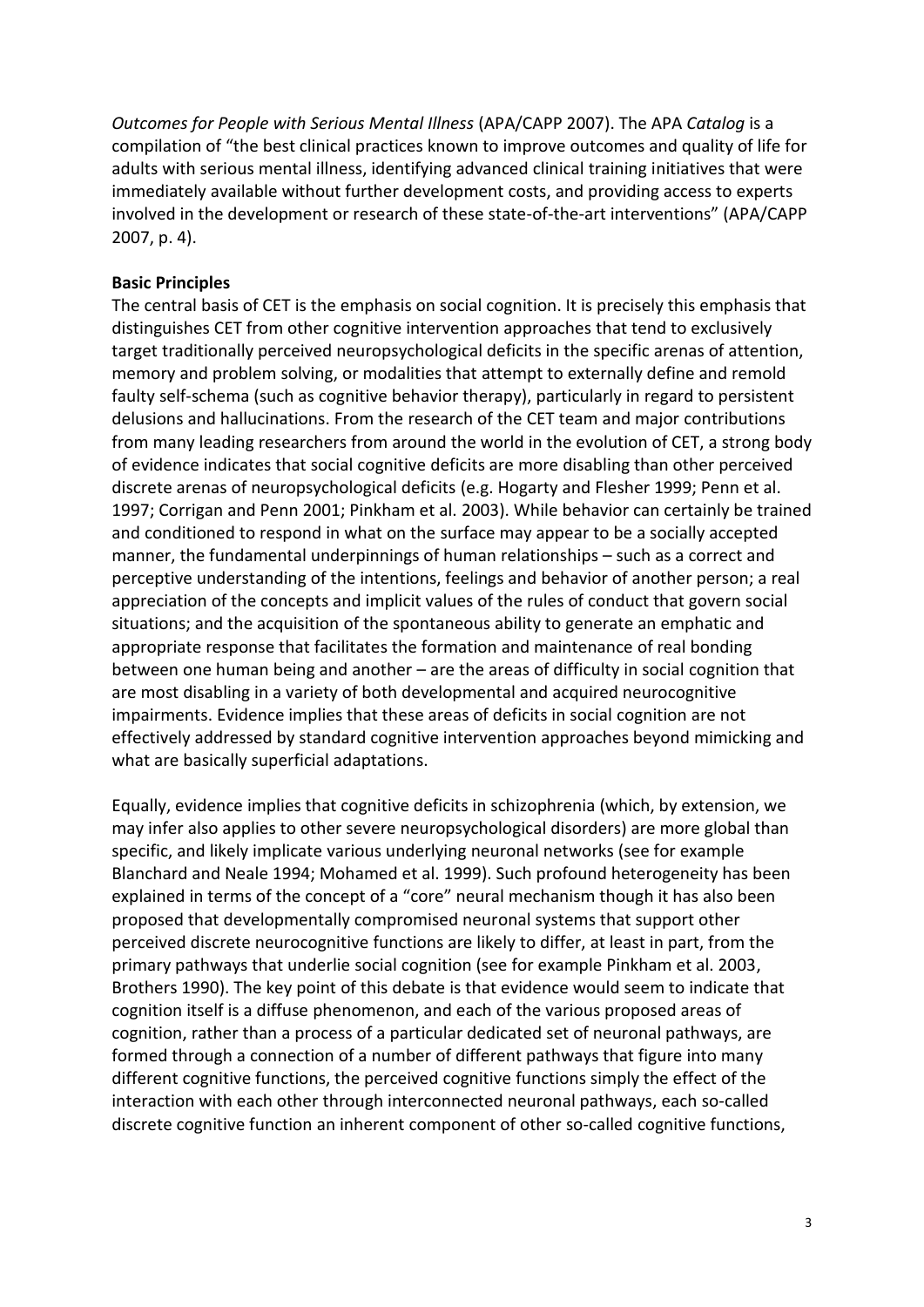*Outcomes for People with Serious Mental Illness* (APA/CAPP 2007). The APA *Catalog* is a compilation of "the best clinical practices known to improve outcomes and quality of life for adults with serious mental illness, identifying advanced clinical training initiatives that were immediately available without further development costs, and providing access to experts involved in the development or research of these state-of-the-art interventions" (APA/CAPP 2007, p. 4).

#### **Basic Principles**

The central basis of CET is the emphasis on social cognition. It is precisely this emphasis that distinguishes CET from other cognitive intervention approaches that tend to exclusively target traditionally perceived neuropsychological deficits in the specific arenas of attention, memory and problem solving, or modalities that attempt to externally define and remold faulty self-schema (such as cognitive behavior therapy), particularly in regard to persistent delusions and hallucinations. From the research of the CET team and major contributions from many leading researchers from around the world in the evolution of CET, a strong body of evidence indicates that social cognitive deficits are more disabling than other perceived discrete arenas of neuropsychological deficits (e.g. Hogarty and Flesher 1999; Penn et al. 1997; Corrigan and Penn 2001; Pinkham et al. 2003). While behavior can certainly be trained and conditioned to respond in what on the surface may appear to be a socially accepted manner, the fundamental underpinnings of human relationships – such as a correct and perceptive understanding of the intentions, feelings and behavior of another person; a real appreciation of the concepts and implicit values of the rules of conduct that govern social situations; and the acquisition of the spontaneous ability to generate an emphatic and appropriate response that facilitates the formation and maintenance of real bonding between one human being and another – are the areas of difficulty in social cognition that are most disabling in a variety of both developmental and acquired neurocognitive impairments. Evidence implies that these areas of deficits in social cognition are not effectively addressed by standard cognitive intervention approaches beyond mimicking and what are basically superficial adaptations.

Equally, evidence implies that cognitive deficits in schizophrenia (which, by extension, we may infer also applies to other severe neuropsychological disorders) are more global than specific, and likely implicate various underlying neuronal networks (see for example Blanchard and Neale 1994; Mohamed et al. 1999). Such profound heterogeneity has been explained in terms of the concept of a "core" neural mechanism though it has also been proposed that developmentally compromised neuronal systems that support other perceived discrete neurocognitive functions are likely to differ, at least in part, from the primary pathways that underlie social cognition (see for example Pinkham et al. 2003, Brothers 1990). The key point of this debate is that evidence would seem to indicate that cognition itself is a diffuse phenomenon, and each of the various proposed areas of cognition, rather than a process of a particular dedicated set of neuronal pathways, are formed through a connection of a number of different pathways that figure into many different cognitive functions, the perceived cognitive functions simply the effect of the interaction with each other through interconnected neuronal pathways, each so-called discrete cognitive function an inherent component of other so-called cognitive functions,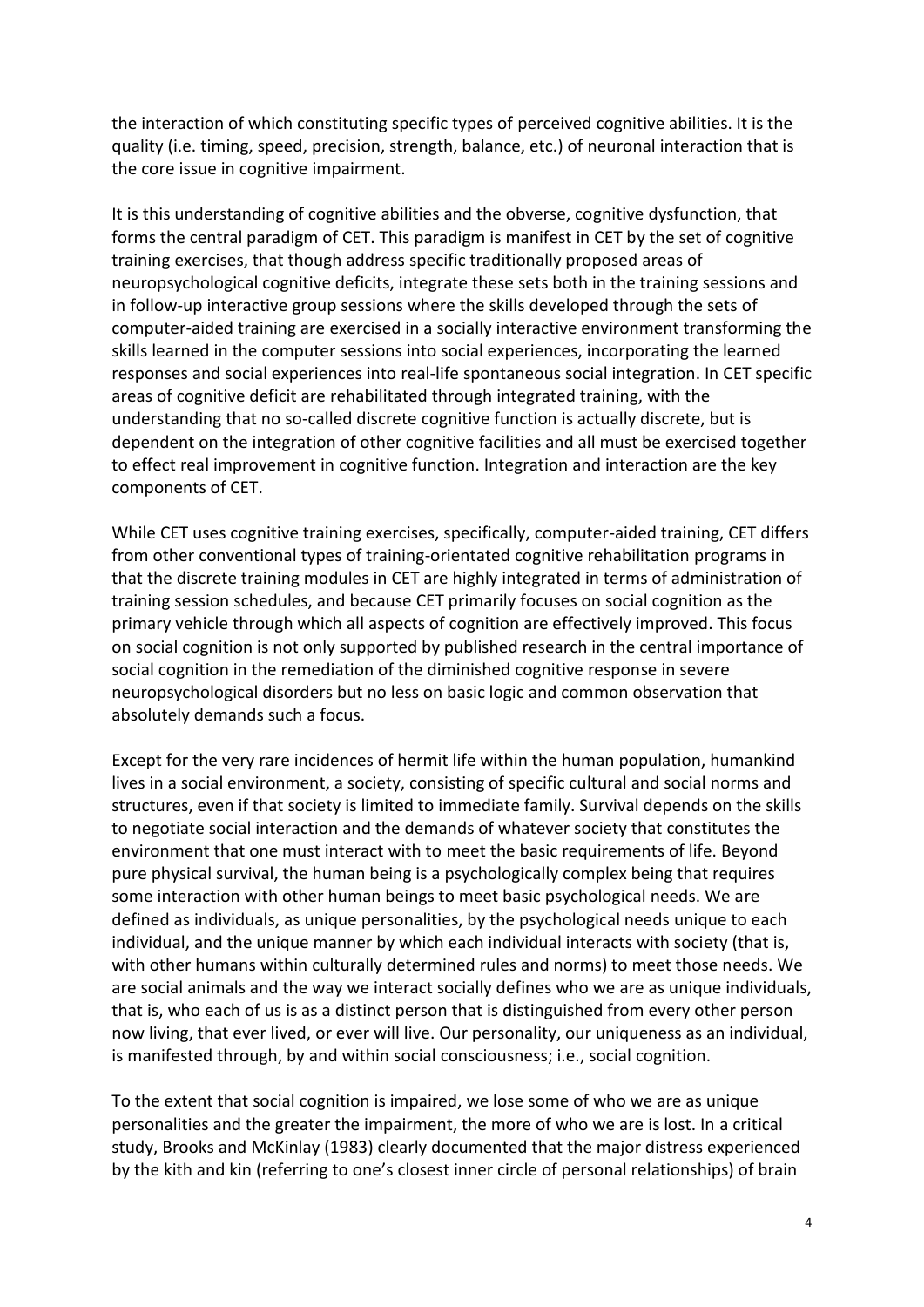the interaction of which constituting specific types of perceived cognitive abilities. It is the quality (i.e. timing, speed, precision, strength, balance, etc.) of neuronal interaction that is the core issue in cognitive impairment.

It is this understanding of cognitive abilities and the obverse, cognitive dysfunction, that forms the central paradigm of CET. This paradigm is manifest in CET by the set of cognitive training exercises, that though address specific traditionally proposed areas of neuropsychological cognitive deficits, integrate these sets both in the training sessions and in follow-up interactive group sessions where the skills developed through the sets of computer-aided training are exercised in a socially interactive environment transforming the skills learned in the computer sessions into social experiences, incorporating the learned responses and social experiences into real-life spontaneous social integration. In CET specific areas of cognitive deficit are rehabilitated through integrated training, with the understanding that no so-called discrete cognitive function is actually discrete, but is dependent on the integration of other cognitive facilities and all must be exercised together to effect real improvement in cognitive function. Integration and interaction are the key components of CET.

While CET uses cognitive training exercises, specifically, computer-aided training, CET differs from other conventional types of training-orientated cognitive rehabilitation programs in that the discrete training modules in CET are highly integrated in terms of administration of training session schedules, and because CET primarily focuses on social cognition as the primary vehicle through which all aspects of cognition are effectively improved. This focus on social cognition is not only supported by published research in the central importance of social cognition in the remediation of the diminished cognitive response in severe neuropsychological disorders but no less on basic logic and common observation that absolutely demands such a focus.

Except for the very rare incidences of hermit life within the human population, humankind lives in a social environment, a society, consisting of specific cultural and social norms and structures, even if that society is limited to immediate family. Survival depends on the skills to negotiate social interaction and the demands of whatever society that constitutes the environment that one must interact with to meet the basic requirements of life. Beyond pure physical survival, the human being is a psychologically complex being that requires some interaction with other human beings to meet basic psychological needs. We are defined as individuals, as unique personalities, by the psychological needs unique to each individual, and the unique manner by which each individual interacts with society (that is, with other humans within culturally determined rules and norms) to meet those needs. We are social animals and the way we interact socially defines who we are as unique individuals, that is, who each of us is as a distinct person that is distinguished from every other person now living, that ever lived, or ever will live. Our personality, our uniqueness as an individual, is manifested through, by and within social consciousness; i.e., social cognition.

To the extent that social cognition is impaired, we lose some of who we are as unique personalities and the greater the impairment, the more of who we are is lost. In a critical study, Brooks and McKinlay (1983) clearly documented that the major distress experienced by the kith and kin (referring to one's closest inner circle of personal relationships) of brain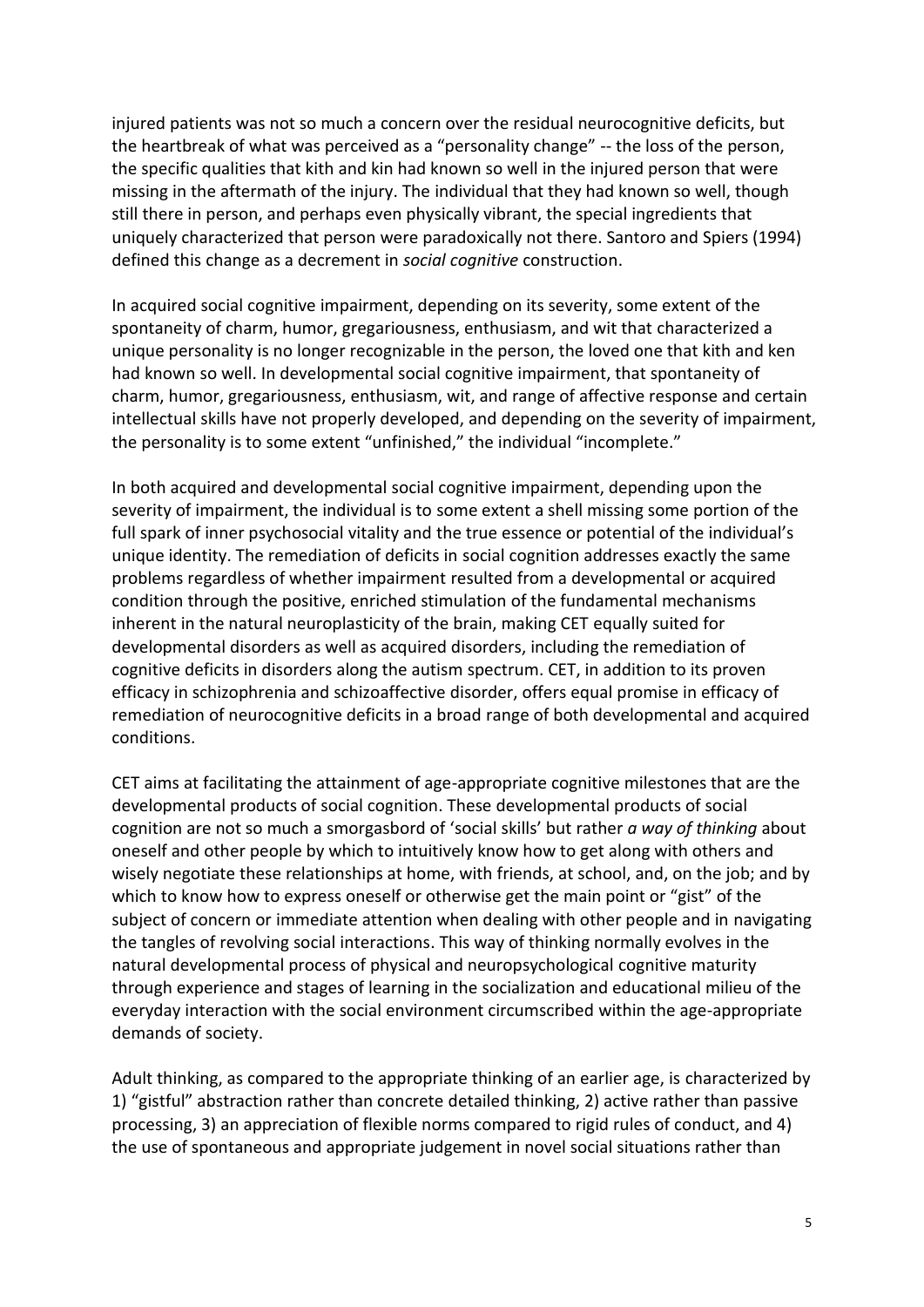injured patients was not so much a concern over the residual neurocognitive deficits, but the heartbreak of what was perceived as a "personality change" -- the loss of the person, the specific qualities that kith and kin had known so well in the injured person that were missing in the aftermath of the injury. The individual that they had known so well, though still there in person, and perhaps even physically vibrant, the special ingredients that uniquely characterized that person were paradoxically not there. Santoro and Spiers (1994) defined this change as a decrement in *social cognitive* construction.

In acquired social cognitive impairment, depending on its severity, some extent of the spontaneity of charm, humor, gregariousness, enthusiasm, and wit that characterized a unique personality is no longer recognizable in the person, the loved one that kith and ken had known so well. In developmental social cognitive impairment, that spontaneity of charm, humor, gregariousness, enthusiasm, wit, and range of affective response and certain intellectual skills have not properly developed, and depending on the severity of impairment, the personality is to some extent "unfinished," the individual "incomplete."

In both acquired and developmental social cognitive impairment, depending upon the severity of impairment, the individual is to some extent a shell missing some portion of the full spark of inner psychosocial vitality and the true essence or potential of the individual's unique identity. The remediation of deficits in social cognition addresses exactly the same problems regardless of whether impairment resulted from a developmental or acquired condition through the positive, enriched stimulation of the fundamental mechanisms inherent in the natural neuroplasticity of the brain, making CET equally suited for developmental disorders as well as acquired disorders, including the remediation of cognitive deficits in disorders along the autism spectrum. CET, in addition to its proven efficacy in schizophrenia and schizoaffective disorder, offers equal promise in efficacy of remediation of neurocognitive deficits in a broad range of both developmental and acquired conditions.

CET aims at facilitating the attainment of age-appropriate cognitive milestones that are the developmental products of social cognition. These developmental products of social cognition are not so much a smorgasbord of 'social skills' but rather *a way of thinking* about oneself and other people by which to intuitively know how to get along with others and wisely negotiate these relationships at home, with friends, at school, and, on the job; and by which to know how to express oneself or otherwise get the main point or "gist" of the subject of concern or immediate attention when dealing with other people and in navigating the tangles of revolving social interactions. This way of thinking normally evolves in the natural developmental process of physical and neuropsychological cognitive maturity through experience and stages of learning in the socialization and educational milieu of the everyday interaction with the social environment circumscribed within the age-appropriate demands of society.

Adult thinking, as compared to the appropriate thinking of an earlier age, is characterized by 1) "gistful" abstraction rather than concrete detailed thinking, 2) active rather than passive processing, 3) an appreciation of flexible norms compared to rigid rules of conduct, and 4) the use of spontaneous and appropriate judgement in novel social situations rather than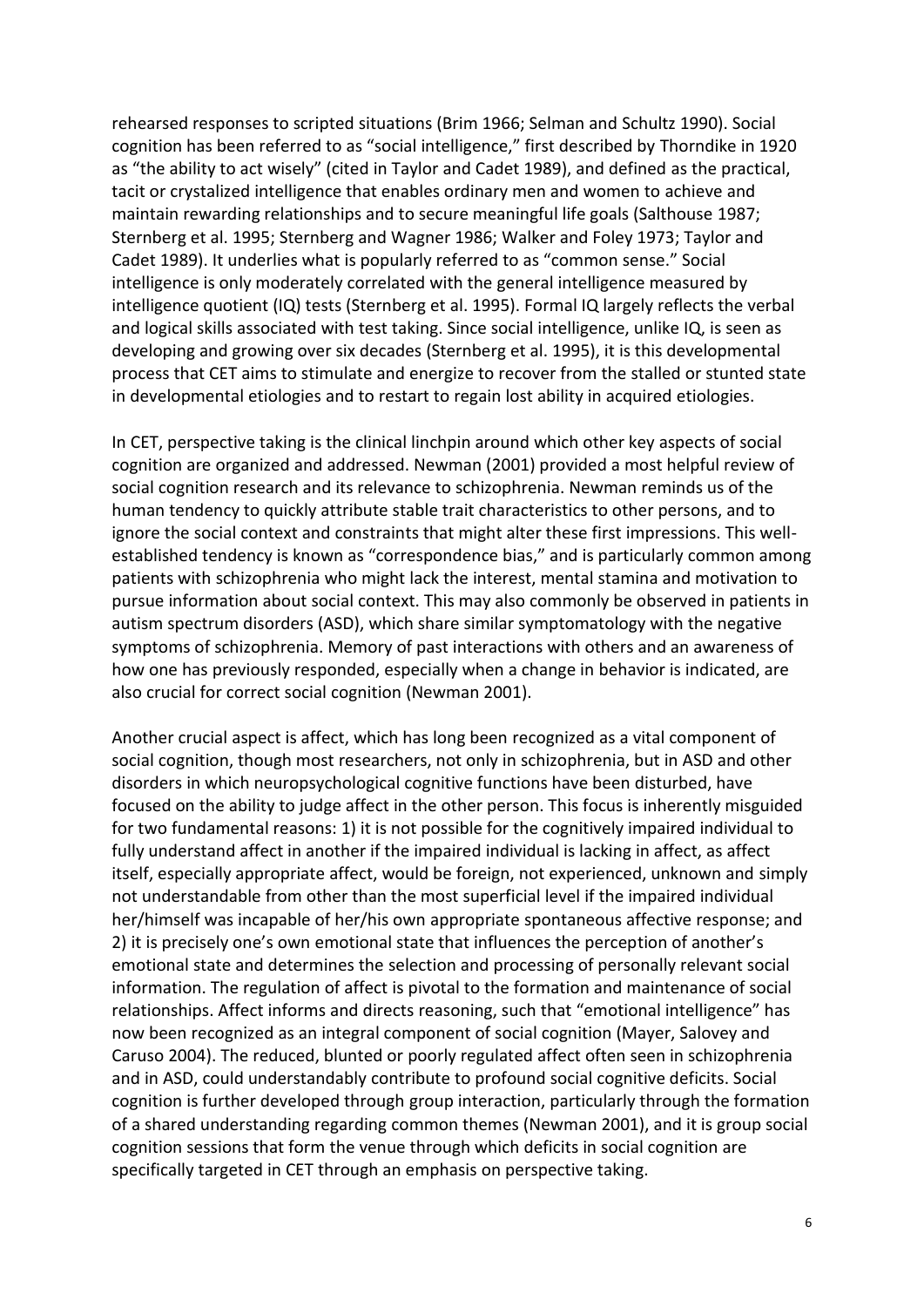rehearsed responses to scripted situations (Brim 1966; Selman and Schultz 1990). Social cognition has been referred to as "social intelligence," first described by Thorndike in 1920 as "the ability to act wisely" (cited in Taylor and Cadet 1989), and defined as the practical, tacit or crystalized intelligence that enables ordinary men and women to achieve and maintain rewarding relationships and to secure meaningful life goals (Salthouse 1987; Sternberg et al. 1995; Sternberg and Wagner 1986; Walker and Foley 1973; Taylor and Cadet 1989). It underlies what is popularly referred to as "common sense." Social intelligence is only moderately correlated with the general intelligence measured by intelligence quotient (IQ) tests (Sternberg et al. 1995). Formal IQ largely reflects the verbal and logical skills associated with test taking. Since social intelligence, unlike IQ, is seen as developing and growing over six decades (Sternberg et al. 1995), it is this developmental process that CET aims to stimulate and energize to recover from the stalled or stunted state in developmental etiologies and to restart to regain lost ability in acquired etiologies.

In CET, perspective taking is the clinical linchpin around which other key aspects of social cognition are organized and addressed. Newman (2001) provided a most helpful review of social cognition research and its relevance to schizophrenia. Newman reminds us of the human tendency to quickly attribute stable trait characteristics to other persons, and to ignore the social context and constraints that might alter these first impressions. This wellestablished tendency is known as "correspondence bias," and is particularly common among patients with schizophrenia who might lack the interest, mental stamina and motivation to pursue information about social context. This may also commonly be observed in patients in autism spectrum disorders (ASD), which share similar symptomatology with the negative symptoms of schizophrenia. Memory of past interactions with others and an awareness of how one has previously responded, especially when a change in behavior is indicated, are also crucial for correct social cognition (Newman 2001).

Another crucial aspect is affect, which has long been recognized as a vital component of social cognition, though most researchers, not only in schizophrenia, but in ASD and other disorders in which neuropsychological cognitive functions have been disturbed, have focused on the ability to judge affect in the other person. This focus is inherently misguided for two fundamental reasons: 1) it is not possible for the cognitively impaired individual to fully understand affect in another if the impaired individual is lacking in affect, as affect itself, especially appropriate affect, would be foreign, not experienced, unknown and simply not understandable from other than the most superficial level if the impaired individual her/himself was incapable of her/his own appropriate spontaneous affective response; and 2) it is precisely one's own emotional state that influences the perception of another's emotional state and determines the selection and processing of personally relevant social information. The regulation of affect is pivotal to the formation and maintenance of social relationships. Affect informs and directs reasoning, such that "emotional intelligence" has now been recognized as an integral component of social cognition (Mayer, Salovey and Caruso 2004). The reduced, blunted or poorly regulated affect often seen in schizophrenia and in ASD, could understandably contribute to profound social cognitive deficits. Social cognition is further developed through group interaction, particularly through the formation of a shared understanding regarding common themes (Newman 2001), and it is group social cognition sessions that form the venue through which deficits in social cognition are specifically targeted in CET through an emphasis on perspective taking.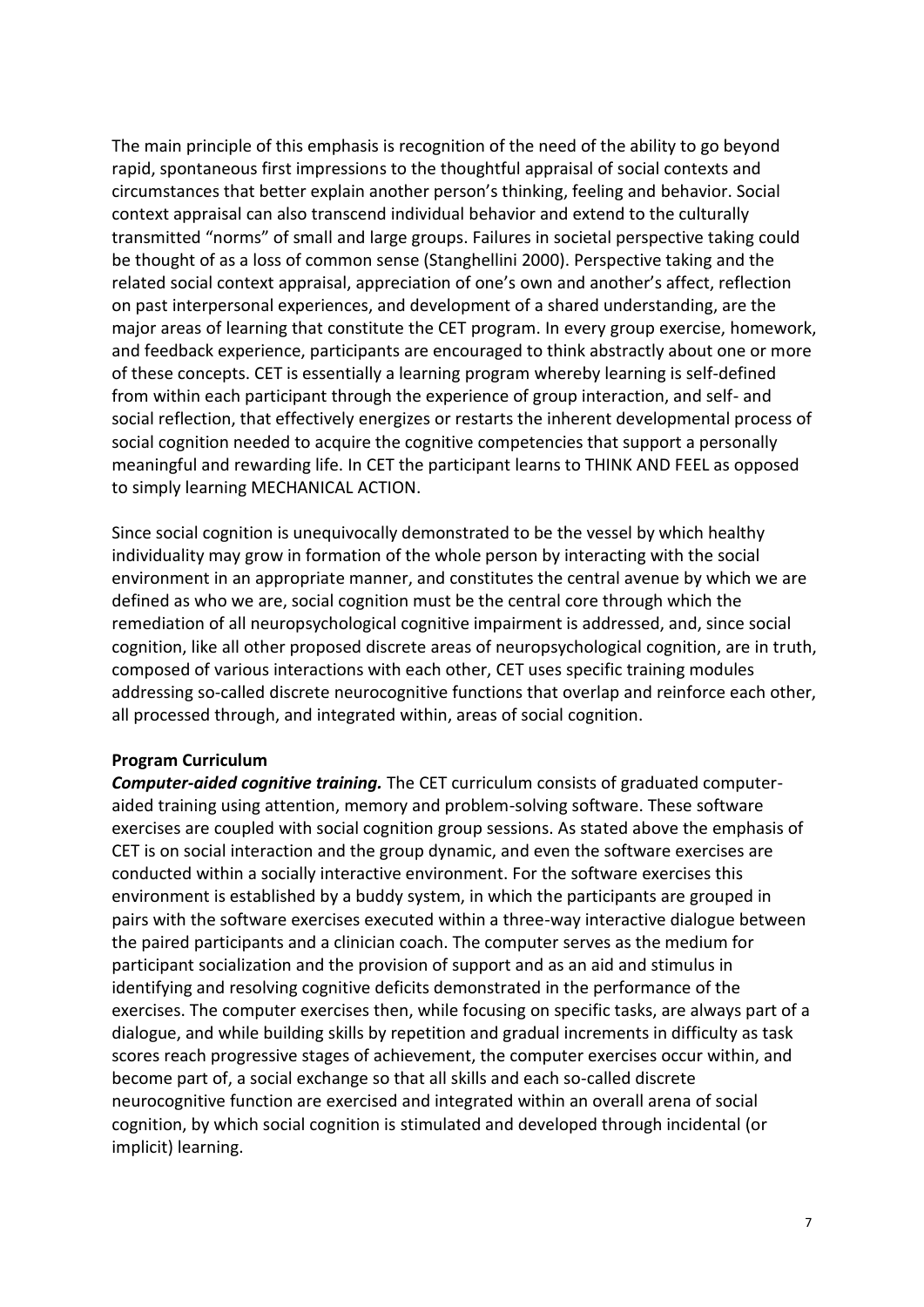The main principle of this emphasis is recognition of the need of the ability to go beyond rapid, spontaneous first impressions to the thoughtful appraisal of social contexts and circumstances that better explain another person's thinking, feeling and behavior. Social context appraisal can also transcend individual behavior and extend to the culturally transmitted "norms" of small and large groups. Failures in societal perspective taking could be thought of as a loss of common sense (Stanghellini 2000). Perspective taking and the related social context appraisal, appreciation of one's own and another's affect, reflection on past interpersonal experiences, and development of a shared understanding, are the major areas of learning that constitute the CET program. In every group exercise, homework, and feedback experience, participants are encouraged to think abstractly about one or more of these concepts. CET is essentially a learning program whereby learning is self-defined from within each participant through the experience of group interaction, and self- and social reflection, that effectively energizes or restarts the inherent developmental process of social cognition needed to acquire the cognitive competencies that support a personally meaningful and rewarding life. In CET the participant learns to THINK AND FEEL as opposed to simply learning MECHANICAL ACTION.

Since social cognition is unequivocally demonstrated to be the vessel by which healthy individuality may grow in formation of the whole person by interacting with the social environment in an appropriate manner, and constitutes the central avenue by which we are defined as who we are, social cognition must be the central core through which the remediation of all neuropsychological cognitive impairment is addressed, and, since social cognition, like all other proposed discrete areas of neuropsychological cognition, are in truth, composed of various interactions with each other, CET uses specific training modules addressing so-called discrete neurocognitive functions that overlap and reinforce each other, all processed through, and integrated within, areas of social cognition.

#### **Program Curriculum**

*Computer-aided cognitive training.* The CET curriculum consists of graduated computeraided training using attention, memory and problem-solving software. These software exercises are coupled with social cognition group sessions. As stated above the emphasis of CET is on social interaction and the group dynamic, and even the software exercises are conducted within a socially interactive environment. For the software exercises this environment is established by a buddy system, in which the participants are grouped in pairs with the software exercises executed within a three-way interactive dialogue between the paired participants and a clinician coach. The computer serves as the medium for participant socialization and the provision of support and as an aid and stimulus in identifying and resolving cognitive deficits demonstrated in the performance of the exercises. The computer exercises then, while focusing on specific tasks, are always part of a dialogue, and while building skills by repetition and gradual increments in difficulty as task scores reach progressive stages of achievement, the computer exercises occur within, and become part of, a social exchange so that all skills and each so-called discrete neurocognitive function are exercised and integrated within an overall arena of social cognition, by which social cognition is stimulated and developed through incidental (or implicit) learning.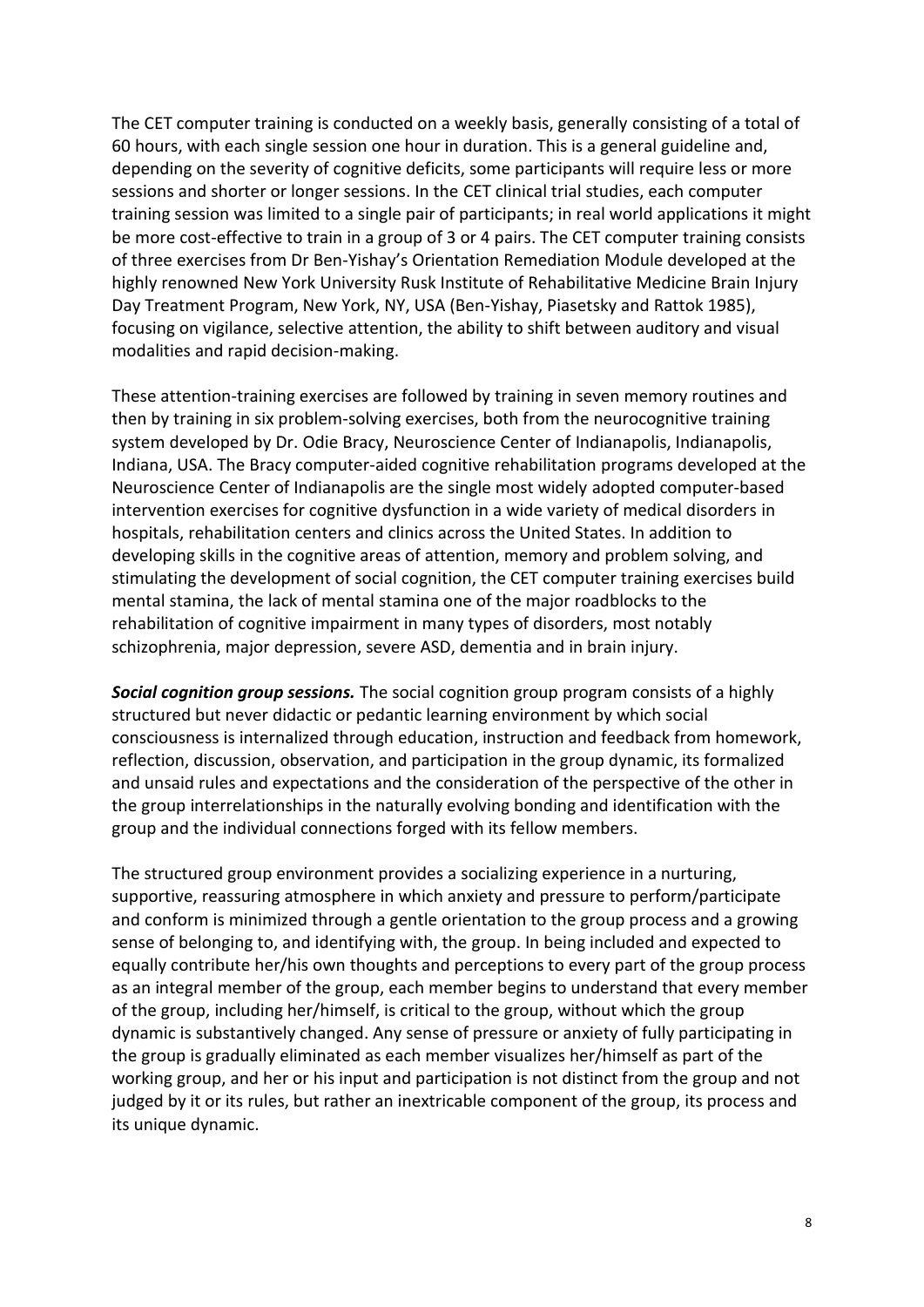The CET computer training is conducted on a weekly basis, generally consisting of a total of 60 hours, with each single session one hour in duration. This is a general guideline and, depending on the severity of cognitive deficits, some participants will require less or more sessions and shorter or longer sessions. In the CET clinical trial studies, each computer training session was limited to a single pair of participants; in real world applications it might be more cost-effective to train in a group of 3 or 4 pairs. The CET computer training consists of three exercises from Dr Ben-Yishay's Orientation Remediation Module developed at the highly renowned New York University Rusk Institute of Rehabilitative Medicine Brain Injury Day Treatment Program, New York, NY, USA (Ben-Yishay, Piasetsky and Rattok 1985), focusing on vigilance, selective attention, the ability to shift between auditory and visual modalities and rapid decision-making.

These attention-training exercises are followed by training in seven memory routines and then by training in six problem-solving exercises, both from the neurocognitive training system developed by Dr. Odie Bracy, Neuroscience Center of Indianapolis, Indianapolis, Indiana, USA. The Bracy computer-aided cognitive rehabilitation programs developed at the Neuroscience Center of Indianapolis are the single most widely adopted computer-based intervention exercises for cognitive dysfunction in a wide variety of medical disorders in hospitals, rehabilitation centers and clinics across the United States. In addition to developing skills in the cognitive areas of attention, memory and problem solving, and stimulating the development of social cognition, the CET computer training exercises build mental stamina, the lack of mental stamina one of the major roadblocks to the rehabilitation of cognitive impairment in many types of disorders, most notably schizophrenia, major depression, severe ASD, dementia and in brain injury.

*Social cognition group sessions.* The social cognition group program consists of a highly structured but never didactic or pedantic learning environment by which social consciousness is internalized through education, instruction and feedback from homework, reflection, discussion, observation, and participation in the group dynamic, its formalized and unsaid rules and expectations and the consideration of the perspective of the other in the group interrelationships in the naturally evolving bonding and identification with the group and the individual connections forged with its fellow members.

The structured group environment provides a socializing experience in a nurturing, supportive, reassuring atmosphere in which anxiety and pressure to perform/participate and conform is minimized through a gentle orientation to the group process and a growing sense of belonging to, and identifying with, the group. In being included and expected to equally contribute her/his own thoughts and perceptions to every part of the group process as an integral member of the group, each member begins to understand that every member of the group, including her/himself, is critical to the group, without which the group dynamic is substantively changed. Any sense of pressure or anxiety of fully participating in the group is gradually eliminated as each member visualizes her/himself as part of the working group, and her or his input and participation is not distinct from the group and not judged by it or its rules, but rather an inextricable component of the group, its process and its unique dynamic.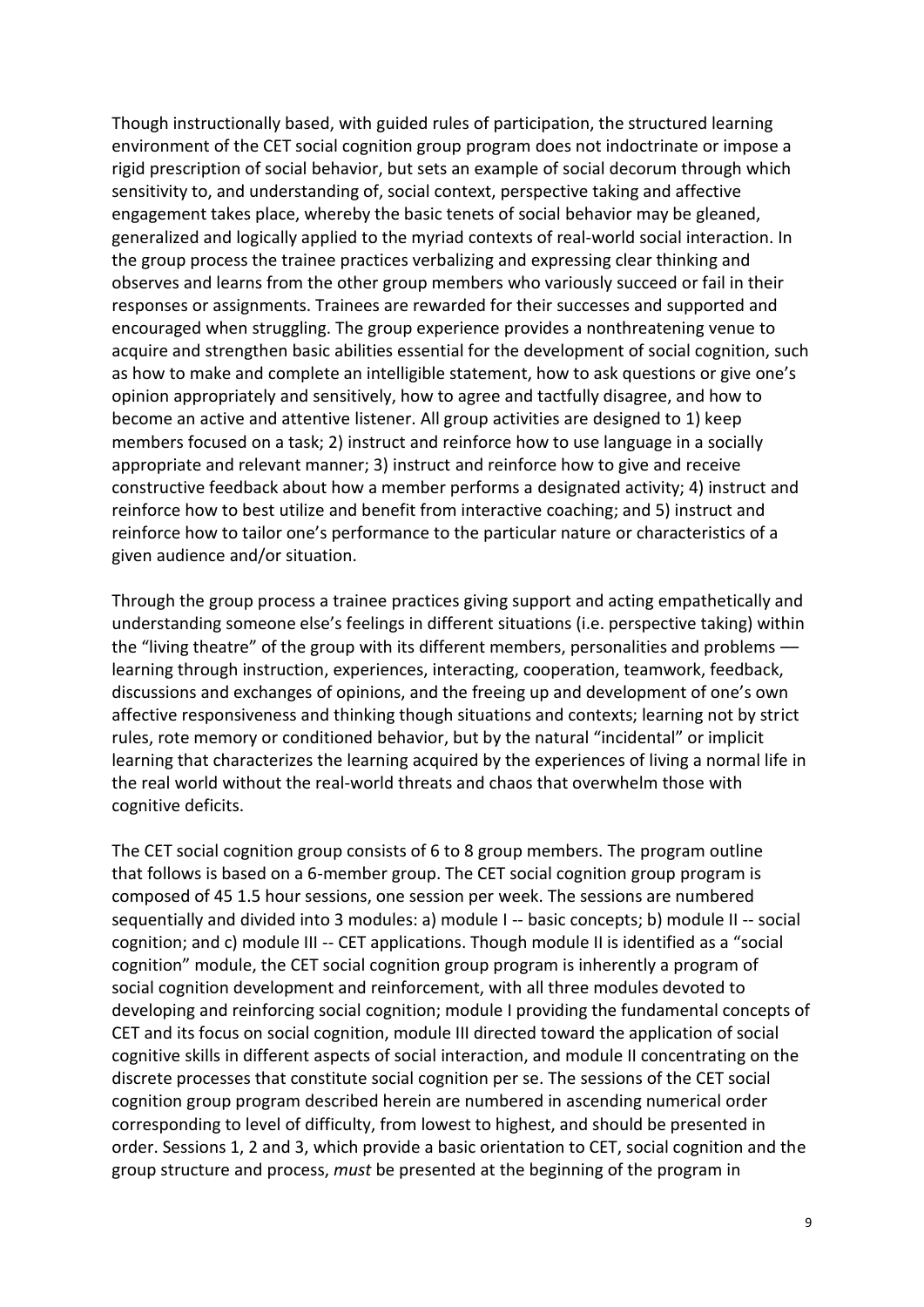Though instructionally based, with guided rules of participation, the structured learning environment of the CET social cognition group program does not indoctrinate or impose a rigid prescription of social behavior, but sets an example of social decorum through which sensitivity to, and understanding of, social context, perspective taking and affective engagement takes place, whereby the basic tenets of social behavior may be gleaned, generalized and logically applied to the myriad contexts of real-world social interaction. In the group process the trainee practices verbalizing and expressing clear thinking and observes and learns from the other group members who variously succeed or fail in their responses or assignments. Trainees are rewarded for their successes and supported and encouraged when struggling. The group experience provides a nonthreatening venue to acquire and strengthen basic abilities essential for the development of social cognition, such as how to make and complete an intelligible statement, how to ask questions or give one's opinion appropriately and sensitively, how to agree and tactfully disagree, and how to become an active and attentive listener. All group activities are designed to 1) keep members focused on a task; 2) instruct and reinforce how to use language in a socially appropriate and relevant manner; 3) instruct and reinforce how to give and receive constructive feedback about how a member performs a designated activity; 4) instruct and reinforce how to best utilize and benefit from interactive coaching; and 5) instruct and reinforce how to tailor one's performance to the particular nature or characteristics of a given audience and/or situation.

Through the group process a trainee practices giving support and acting empathetically and understanding someone else's feelings in different situations (i.e. perspective taking) within the "living theatre" of the group with its different members, personalities and problems –– learning through instruction, experiences, interacting, cooperation, teamwork, feedback, discussions and exchanges of opinions, and the freeing up and development of one's own affective responsiveness and thinking though situations and contexts; learning not by strict rules, rote memory or conditioned behavior, but by the natural "incidental" or implicit learning that characterizes the learning acquired by the experiences of living a normal life in the real world without the real-world threats and chaos that overwhelm those with cognitive deficits.

The CET social cognition group consists of 6 to 8 group members. The program outline that follows is based on a 6-member group. The CET social cognition group program is composed of 45 1.5 hour sessions, one session per week. The sessions are numbered sequentially and divided into 3 modules: a) module I -- basic concepts; b) module II -- social cognition; and c) module III -- CET applications. Though module II is identified as a "social cognition" module, the CET social cognition group program is inherently a program of social cognition development and reinforcement, with all three modules devoted to developing and reinforcing social cognition; module I providing the fundamental concepts of CET and its focus on social cognition, module III directed toward the application of social cognitive skills in different aspects of social interaction, and module II concentrating on the discrete processes that constitute social cognition per se. The sessions of the CET social cognition group program described herein are numbered in ascending numerical order corresponding to level of difficulty, from lowest to highest, and should be presented in order. Sessions 1, 2 and 3, which provide a basic orientation to CET, social cognition and the group structure and process, *must* be presented at the beginning of the program in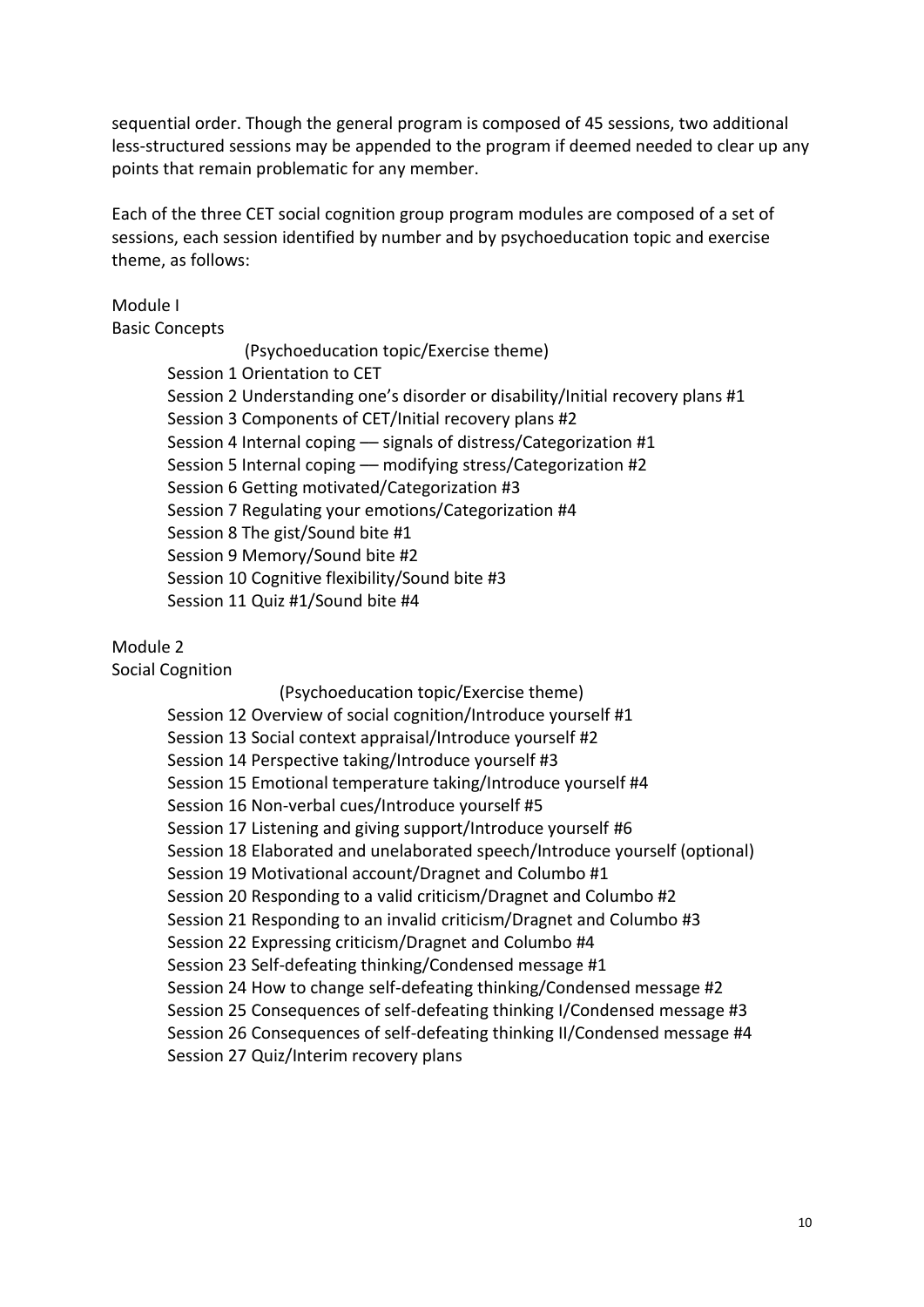sequential order. Though the general program is composed of 45 sessions, two additional less-structured sessions may be appended to the program if deemed needed to clear up any points that remain problematic for any member.

Each of the three CET social cognition group program modules are composed of a set of sessions, each session identified by number and by psychoeducation topic and exercise theme, as follows:

Module I

Basic Concepts

(Psychoeducation topic/Exercise theme) Session 1 Orientation to CET Session 2 Understanding one's disorder or disability/Initial recovery plans #1 Session 3 Components of CET/Initial recovery plans #2 Session 4 Internal coping –– signals of distress/Categorization #1 Session 5 Internal coping –– modifying stress/Categorization #2 Session 6 Getting motivated/Categorization #3 Session 7 Regulating your emotions/Categorization #4 Session 8 The gist/Sound bite #1 Session 9 Memory/Sound bite #2 Session 10 Cognitive flexibility/Sound bite #3 Session 11 Quiz #1/Sound bite #4

# Module 2

Social Cognition

(Psychoeducation topic/Exercise theme)

Session 12 Overview of social cognition/Introduce yourself #1 Session 13 Social context appraisal/Introduce yourself #2 Session 14 Perspective taking/Introduce yourself #3 Session 15 Emotional temperature taking/Introduce yourself #4 Session 16 Non-verbal cues/Introduce yourself #5 Session 17 Listening and giving support/Introduce yourself #6 Session 18 Elaborated and unelaborated speech/Introduce yourself (optional) Session 19 Motivational account/Dragnet and Columbo #1 Session 20 Responding to a valid criticism/Dragnet and Columbo #2 Session 21 Responding to an invalid criticism/Dragnet and Columbo #3 Session 22 Expressing criticism/Dragnet and Columbo #4 Session 23 Self-defeating thinking/Condensed message #1 Session 24 How to change self-defeating thinking/Condensed message #2 Session 25 Consequences of self-defeating thinking I/Condensed message #3 Session 26 Consequences of self-defeating thinking II/Condensed message #4 Session 27 Quiz/Interim recovery plans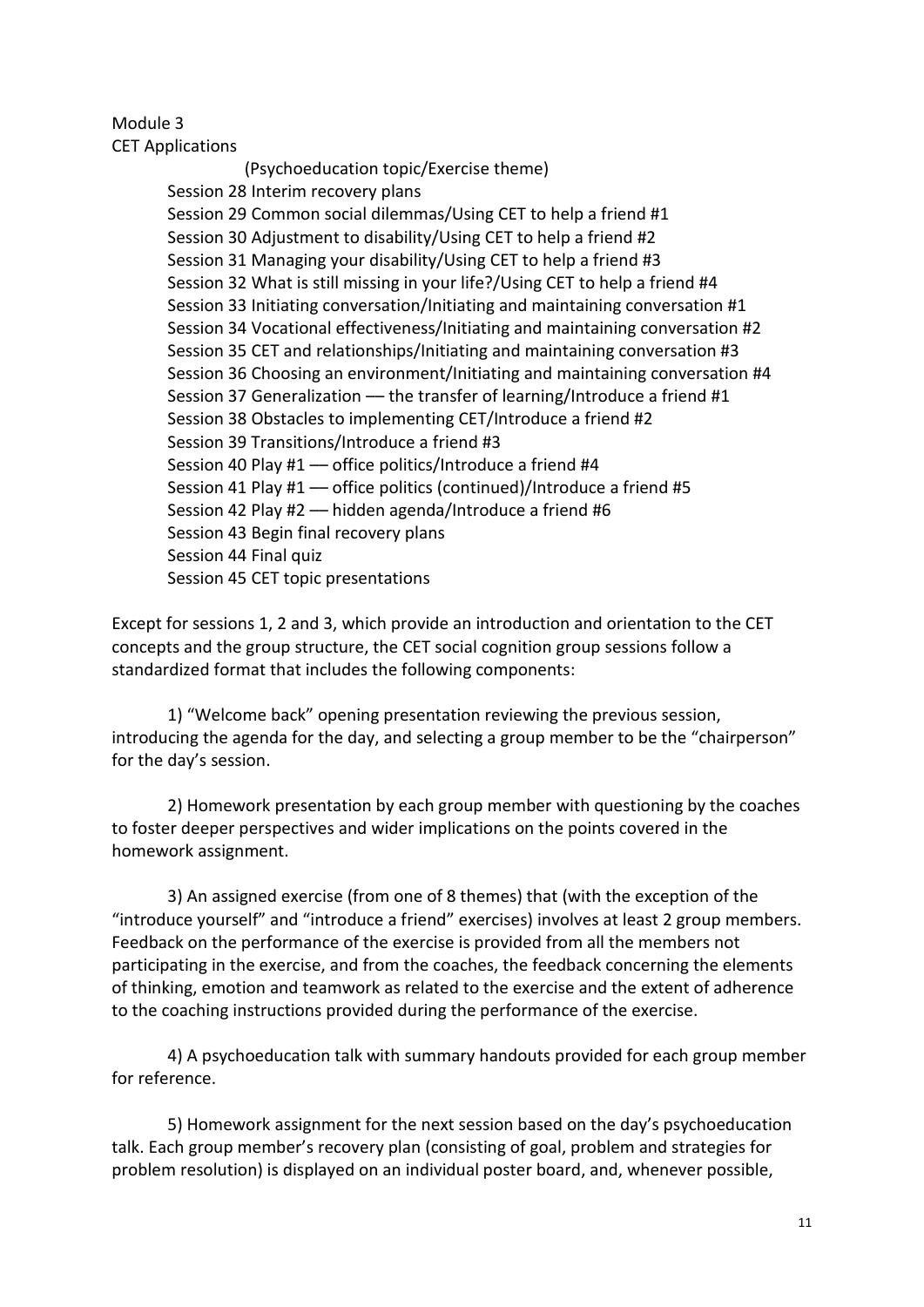## Module 3 CET Applications

(Psychoeducation topic/Exercise theme) Session 28 Interim recovery plans Session 29 Common social dilemmas/Using CET to help a friend #1 Session 30 Adjustment to disability/Using CET to help a friend #2 Session 31 Managing your disability/Using CET to help a friend #3 Session 32 What is still missing in your life?/Using CET to help a friend #4 Session 33 Initiating conversation/Initiating and maintaining conversation #1 Session 34 Vocational effectiveness/Initiating and maintaining conversation #2 Session 35 CET and relationships/Initiating and maintaining conversation #3 Session 36 Choosing an environment/Initiating and maintaining conversation #4 Session 37 Generalization -- the transfer of learning/Introduce a friend #1 Session 38 Obstacles to implementing CET/Introduce a friend #2 Session 39 Transitions/Introduce a friend #3 Session 40 Play #1 –– office politics/Introduce a friend #4 Session 41 Play #1 –– office politics (continued)/Introduce a friend #5 Session 42 Play #2 –– hidden agenda/Introduce a friend #6 Session 43 Begin final recovery plans Session 44 Final quiz Session 45 CET topic presentations

Except for sessions 1, 2 and 3, which provide an introduction and orientation to the CET concepts and the group structure, the CET social cognition group sessions follow a standardized format that includes the following components:

1) "Welcome back" opening presentation reviewing the previous session, introducing the agenda for the day, and selecting a group member to be the "chairperson" for the day's session.

2) Homework presentation by each group member with questioning by the coaches to foster deeper perspectives and wider implications on the points covered in the homework assignment.

3) An assigned exercise (from one of 8 themes) that (with the exception of the "introduce yourself" and "introduce a friend" exercises) involves at least 2 group members. Feedback on the performance of the exercise is provided from all the members not participating in the exercise, and from the coaches, the feedback concerning the elements of thinking, emotion and teamwork as related to the exercise and the extent of adherence to the coaching instructions provided during the performance of the exercise.

4) A psychoeducation talk with summary handouts provided for each group member for reference.

5) Homework assignment for the next session based on the day's psychoeducation talk. Each group member's recovery plan (consisting of goal, problem and strategies for problem resolution) is displayed on an individual poster board, and, whenever possible,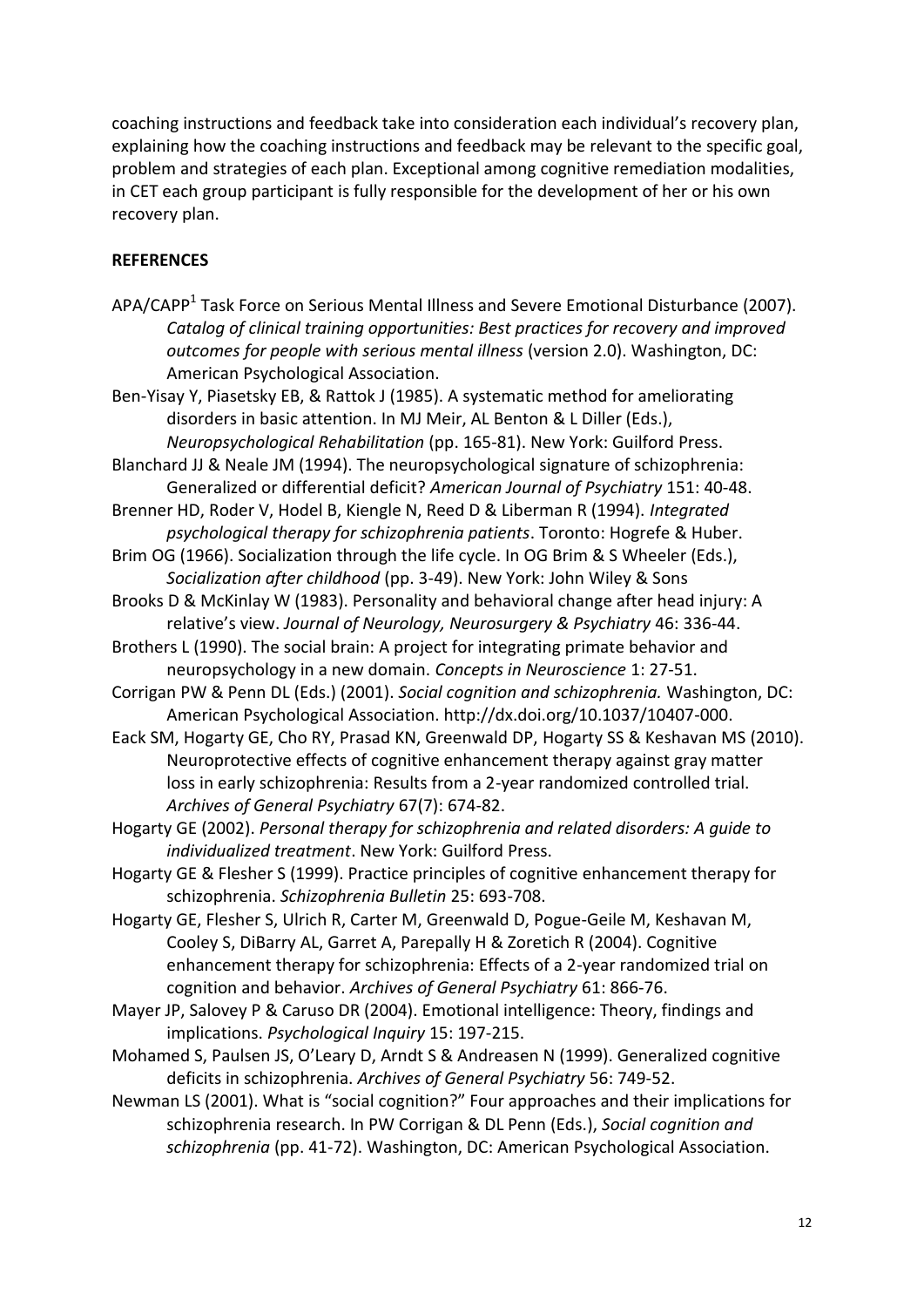coaching instructions and feedback take into consideration each individual's recovery plan, explaining how the coaching instructions and feedback may be relevant to the specific goal, problem and strategies of each plan. Exceptional among cognitive remediation modalities, in CET each group participant is fully responsible for the development of her or his own recovery plan.

## **REFERENCES**

APA/CAPP<sup>1</sup> Task Force on Serious Mental Illness and Severe Emotional Disturbance (2007). *Catalog of clinical training opportunities: Best practices for recovery and improved outcomes for people with serious mental illness* (version 2.0). Washington, DC: American Psychological Association.

Ben-Yisay Y, Piasetsky EB, & Rattok J (1985). A systematic method for ameliorating disorders in basic attention. In MJ Meir, AL Benton & L Diller (Eds.), *Neuropsychological Rehabilitation* (pp. 165-81). New York: Guilford Press.

Blanchard JJ & Neale JM (1994). The neuropsychological signature of schizophrenia: Generalized or differential deficit? *American Journal of Psychiatry* 151: 40-48.

Brenner HD, Roder V, Hodel B, Kiengle N, Reed D & Liberman R (1994). *Integrated psychological therapy for schizophrenia patients*. Toronto: Hogrefe & Huber.

- Brim OG (1966). Socialization through the life cycle. In OG Brim & S Wheeler (Eds.), *Socialization after childhood* (pp. 3-49). New York: John Wiley & Sons
- Brooks D & McKinlay W (1983). Personality and behavioral change after head injury: A relative's view. *Journal of Neurology, Neurosurgery & Psychiatry* 46: 336-44.

Brothers L (1990). The social brain: A project for integrating primate behavior and neuropsychology in a new domain. *Concepts in Neuroscience* 1: 27-51.

Corrigan PW & Penn DL (Eds.) (2001). *Social cognition and schizophrenia.* Washington, DC: American Psychological Association. [http://dx.doi.org/10.1037/10407-000.](http://psycnet.apa.org/doi/10.1037/10407-000)

Eack SM, Hogarty GE, Cho RY, Prasad KN, Greenwald DP, Hogarty SS & Keshavan MS (2010). Neuroprotective effects of cognitive enhancement therapy against gray matter loss in early schizophrenia: Results from a 2-year randomized controlled trial. *Archives of General Psychiatry* 67(7): 674-82.

Hogarty GE (2002). *Personal therapy for schizophrenia and related disorders: A guide to individualized treatment*. New York: Guilford Press.

Hogarty GE & Flesher S (1999). Practice principles of cognitive enhancement therapy for schizophrenia. *Schizophrenia Bulletin* 25: 693-708.

- Hogarty GE, Flesher S, Ulrich R, Carter M, Greenwald D, Pogue-Geile M, Keshavan M, Cooley S, DiBarry AL, Garret A, Parepally H & Zoretich R (2004). Cognitive enhancement therapy for schizophrenia: Effects of a 2-year randomized trial on cognition and behavior. *Archives of General Psychiatry* 61: 866-76.
- Mayer JP, Salovey P & Caruso DR (2004). Emotional intelligence: Theory, findings and implications. *Psychological Inquiry* 15: 197-215.

Mohamed S, Paulsen JS, O'Leary D, Arndt S & Andreasen N (1999). Generalized cognitive deficits in schizophrenia. *Archives of General Psychiatry* 56: 749-52.

Newman LS (2001). What is "social cognition?" Four approaches and their implications for schizophrenia research. In PW Corrigan & DL Penn (Eds.), *Social cognition and schizophrenia* (pp. 41-72). Washington, DC: American Psychological Association.